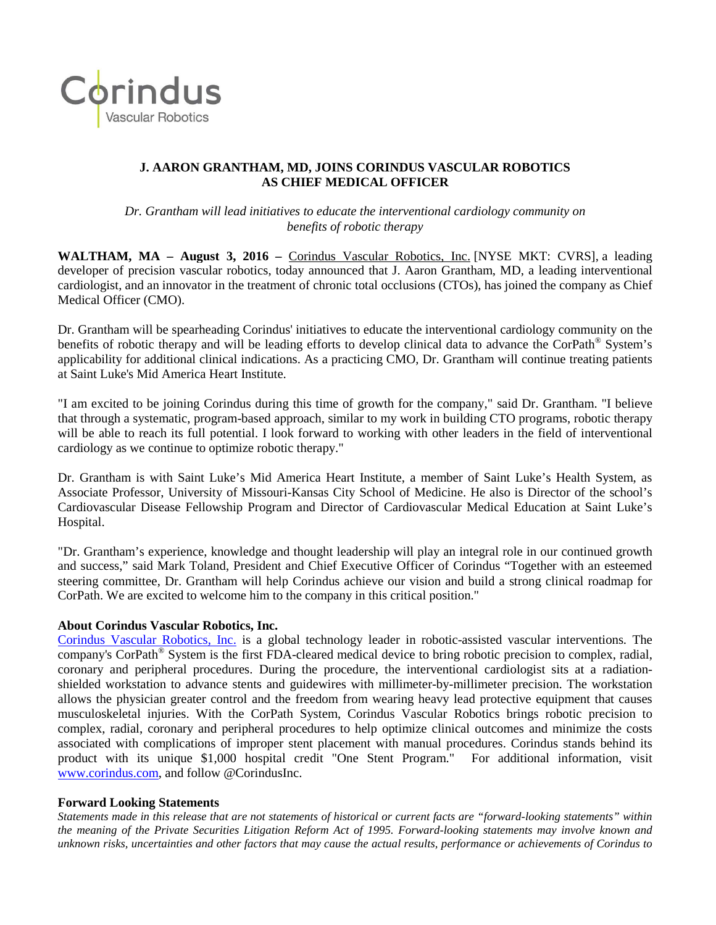

## **J. AARON GRANTHAM, MD, JOINS CORINDUS VASCULAR ROBOTICS AS CHIEF MEDICAL OFFICER**

*Dr. Grantham will lead initiatives to educate the interventional cardiology community on benefits of robotic therapy*

**WALTHAM, MA – August 3, 2016 –** Corindus Vascular [Robotics,](http://www.corindus.com/) Inc. [NYSE MKT: CVRS], a leading developer of precision vascular robotics, today announced that J. Aaron Grantham, MD, a leading interventional cardiologist, and an innovator in the treatment of chronic total occlusions (CTOs), has joined the company as Chief Medical Officer (CMO).

Dr. Grantham will be spearheading Corindus' initiatives to educate the interventional cardiology community on the benefits of robotic therapy and will be leading efforts to develop clinical data to advance the CorPath® System's applicability for additional clinical indications. As a practicing CMO, Dr. Grantham will continue treating patients at Saint Luke's Mid America Heart Institute.

"I am excited to be joining Corindus during this time of growth for the company," said Dr. Grantham. "I believe that through a systematic, program-based approach, similar to my work in building CTO programs, robotic therapy will be able to reach its full potential. I look forward to working with other leaders in the field of interventional cardiology as we continue to optimize robotic therapy."

Dr. Grantham is with Saint Luke's Mid America Heart Institute, a member of Saint Luke's Health System, as Associate Professor, University of Missouri-Kansas City School of Medicine. He also is Director of the school's Cardiovascular Disease Fellowship Program and Director of Cardiovascular Medical Education at Saint Luke's Hospital.

"Dr. Grantham's experience, knowledge and thought leadership will play an integral role in our continued growth and success," said Mark Toland, President and Chief Executive Officer of Corindus "Together with an esteemed steering committee, Dr. Grantham will help Corindus achieve our vision and build a strong clinical roadmap for CorPath. We are excited to welcome him to the company in this critical position."

## **About Corindus Vascular Robotics, Inc.**

[Corindus Vascular](http://www.corindus.com/) Robotics, Inc. is a global technology leader in robotic-assisted vascular interventions. The company's CorPath® System is the first FDA-cleared medical device to bring robotic precision to complex, radial, coronary and peripheral procedures. During the procedure, the interventional cardiologist sits at a radiationshielded workstation to advance stents and guidewires with millimeter-by-millimeter precision. The workstation allows the physician greater control and the freedom from wearing heavy lead protective equipment that causes musculoskeletal injuries. With the CorPath System, Corindus Vascular Robotics brings robotic precision to complex, radial, coronary and peripheral procedures to help optimize clinical outcomes and minimize the costs associated with complications of improper stent placement with manual procedures. Corindus stands behind its product with its unique \$1,000 hospital credit "One Stent Program." For additional information, visit [www.corindus.com,](http://www.corindus.com/) and follow @CorindusInc.

## **Forward Looking Statements**

*Statements made in this release that are not statements of historical or current facts are "forward-looking statements" within the meaning of the Private Securities Litigation Reform Act of 1995. Forward-looking statements may involve known and unknown risks, uncertainties and other factors that may cause the actual results, performance or achievements of Corindus to*